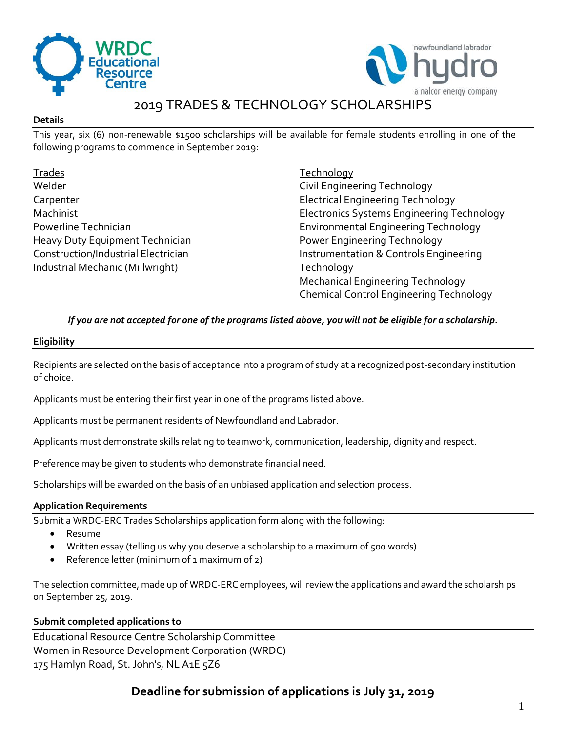



# 2019 TRADES & TECHNOLOGY SCHOLARSHIPS

### **Details**

This year, six (6) non-renewable \$1500 scholarships will be available for female students enrolling in one of the following programs to commence in September 2019:

Trades Welder **Carpenter** Machinist Powerline Technician Heavy Duty Equipment Technician Construction/Industrial Electrician Industrial Mechanic (Millwright)

**Technology** Civil Engineering Technology Electrical Engineering Technology Electronics Systems Engineering Technology Environmental Engineering Technology Power Engineering Technology Instrumentation & Controls Engineering **Technology** Mechanical Engineering Technology Chemical Control Engineering Technology

*If you are not accepted for one of the programs listed above, you will not be eligible for a scholarship.*

### **Eligibility**

Recipients are selected on the basis of acceptance into a program of study at a recognized post-secondary institution of choice.

Applicants must be entering their first year in one of the programs listed above.

Applicants must be permanent residents of Newfoundland and Labrador.

Applicants must demonstrate skills relating to teamwork, communication, leadership, dignity and respect.

Preference may be given to students who demonstrate financial need.

Scholarships will be awarded on the basis of an unbiased application and selection process.

## **Application Requirements**

Submit a WRDC-ERC Trades Scholarships application form along with the following:

- Resume
- Written essay (telling us why you deserve a scholarship to a maximum of 500 words)
- Reference letter (minimum of 1 maximum of 2)

The selection committee, made up of WRDC-ERC employees, will review the applications and award the scholarships on September 25, 2019.

## **Submit completed applications to**

Educational Resource Centre Scholarship Committee Women in Resource Development Corporation (WRDC) 175 Hamlyn Road, St. John's, NL A1E 5Z6

# **Deadline for submission of applications is July 31, 2019**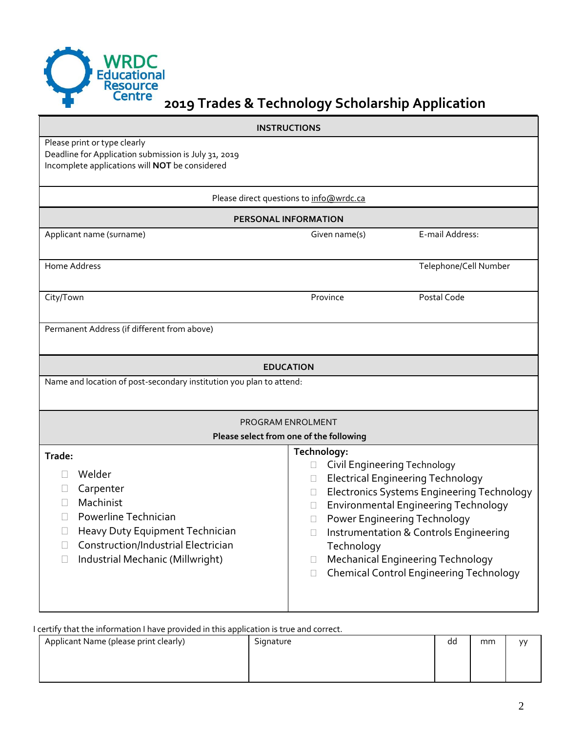

# **2019 Trades & Technology Scholarship Application**

| <b>INSTRUCTIONS</b>                                                                                                                                                                                  |                                                                                                                                                                                                                                                                                                                                                                                                  |  |  |  |
|------------------------------------------------------------------------------------------------------------------------------------------------------------------------------------------------------|--------------------------------------------------------------------------------------------------------------------------------------------------------------------------------------------------------------------------------------------------------------------------------------------------------------------------------------------------------------------------------------------------|--|--|--|
| Please print or type clearly<br>Deadline for Application submission is July 31, 2019<br>Incomplete applications will NOT be considered                                                               |                                                                                                                                                                                                                                                                                                                                                                                                  |  |  |  |
| Please direct questions to info@wrdc.ca<br><b>PERSONAL INFORMATION</b>                                                                                                                               |                                                                                                                                                                                                                                                                                                                                                                                                  |  |  |  |
|                                                                                                                                                                                                      |                                                                                                                                                                                                                                                                                                                                                                                                  |  |  |  |
| Home Address                                                                                                                                                                                         | Telephone/Cell Number                                                                                                                                                                                                                                                                                                                                                                            |  |  |  |
| City/Town                                                                                                                                                                                            | Postal Code<br>Province                                                                                                                                                                                                                                                                                                                                                                          |  |  |  |
| Permanent Address (if different from above)                                                                                                                                                          |                                                                                                                                                                                                                                                                                                                                                                                                  |  |  |  |
| <b>EDUCATION</b>                                                                                                                                                                                     |                                                                                                                                                                                                                                                                                                                                                                                                  |  |  |  |
| Name and location of post-secondary institution you plan to attend:                                                                                                                                  |                                                                                                                                                                                                                                                                                                                                                                                                  |  |  |  |
| PROGRAM ENROLMENT                                                                                                                                                                                    |                                                                                                                                                                                                                                                                                                                                                                                                  |  |  |  |
| Please select from one of the following                                                                                                                                                              |                                                                                                                                                                                                                                                                                                                                                                                                  |  |  |  |
| Trade:<br>Welder<br>Carpenter<br>Machinist<br>Powerline Technician<br>Heavy Duty Equipment Technician<br>$\Box$<br>Construction/Industrial Electrician<br>Industrial Mechanic (Millwright)<br>$\Box$ | Technology:<br><b>Civil Engineering Technology</b><br><b>Electrical Engineering Technology</b><br><b>Electronics Systems Engineering Technology</b><br><b>Environmental Engineering Technology</b><br>Power Engineering Technology<br>Instrumentation & Controls Engineering<br>Technology<br>Mechanical Engineering Technology<br>$\Box$<br><b>Chemical Control Engineering Technology</b><br>П |  |  |  |

I certify that the information I have provided in this application is true and correct.

| Applicant Name (please print clearly) | Signature | dd | mm | V <sub>V</sub> |
|---------------------------------------|-----------|----|----|----------------|
|                                       |           |    |    |                |
|                                       |           |    |    |                |